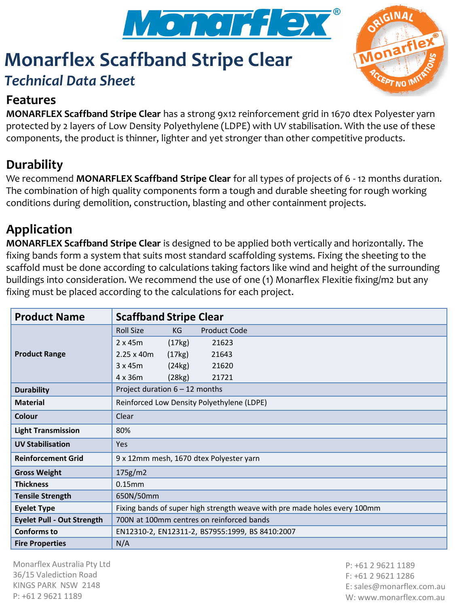

# **Monarflex Scaffband Stripe Clear**



# *Technical Data Sheet*

#### **Features**

**MONARFLEX Scaffband Stripe Clear** has a strong 9x12 reinforcement grid in 1670 dtex Polyester yarn protected by 2 layers of Low Density Polyethylene (LDPE) with UV stabilisation. With the use of these components, the product is thinner, lighter and yet stronger than other competitive products.

# **Durability**

We recommend **MONARFLEX Scaffband Stripe Clear** for all types of projects of 6 - 12 months duration. The combination of high quality components form a tough and durable sheeting for rough working conditions during demolition, construction, blasting and other containment projects.

### **Application**

**MONARFLEX Scaffband Stripe Clear** is designed to be applied both vertically and horizontally. The fixing bands form a system that suits most standard scaffolding systems. Fixing the sheeting to the scaffold must be done according to calculations taking factors like wind and height of the surrounding buildings into consideration. We recommend the use of one (1) Monarflex Flexitie fixing/m2 but any fixing must be placed according to the calculations for each project.

| <b>Product Name</b>               | <b>Scaffband Stripe Clear</b>                                             |
|-----------------------------------|---------------------------------------------------------------------------|
| <b>Product Range</b>              | <b>Roll Size</b><br><b>Product Code</b><br>KG                             |
|                                   | $2 \times 45m$<br>(17kg)<br>21623                                         |
|                                   | $2.25 \times 40m$<br>(17kg)<br>21643                                      |
|                                   | 3x45m<br>(24kg)<br>21620                                                  |
|                                   | $4 \times 36m$<br>(28kg)<br>21721                                         |
| <b>Durability</b>                 | Project duration $6 - 12$ months                                          |
| <b>Material</b>                   | Reinforced Low Density Polyethylene (LDPE)                                |
| Colour                            | Clear                                                                     |
| <b>Light Transmission</b>         | 80%                                                                       |
| <b>UV Stabilisation</b>           | Yes                                                                       |
| <b>Reinforcement Grid</b>         | 9 x 12mm mesh, 1670 dtex Polyester yarn                                   |
| <b>Gross Weight</b>               | 175g/m2                                                                   |
| <b>Thickness</b>                  | $0.15$ mm                                                                 |
| <b>Tensile Strength</b>           | 650N/50mm                                                                 |
| <b>Eyelet Type</b>                | Fixing bands of super high strength weave with pre made holes every 100mm |
| <b>Eyelet Pull - Out Strength</b> | 700N at 100mm centres on reinforced bands                                 |
| <b>Conforms to</b>                | EN12310-2, EN12311-2, BS7955:1999, BS 8410:2007                           |
| <b>Fire Properties</b>            | N/A                                                                       |

Monarflex Australia Pty Ltd 36/15 Valediction Road KINGS PARK NSW 2148 P: +61 2 9621 1189

P: +61 2 9621 1189 F: +61 2 9621 1286 E: sales@monarflex.com.au W: www.monarflex.com.au